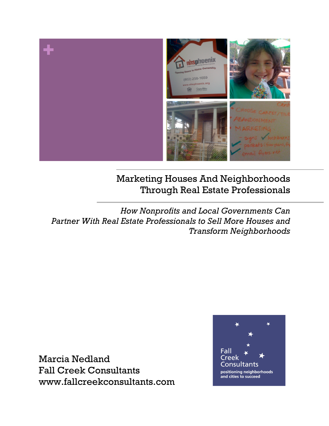

## Marketing Houses And Neighborhoods Through Real Estate Professionals

*How Nonprofits and Local Governments Can Partner With Real Estate Professionals to Sell More Houses and Transform Neighborhoods*

Marcia Nedland Fall Creek Consultants www.fallcreekconsultants.com

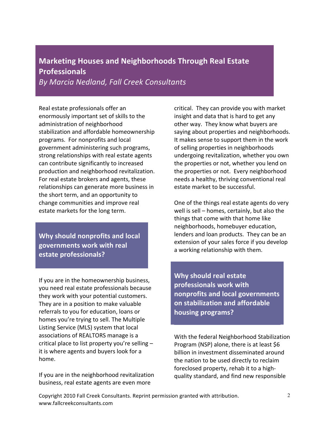## **Marketing Houses and Neighborhoods Through Real Estate Professionals**

*By Marcia Nedland, Fall Creek Consultants*

Real estate professionals offer an enormously important set of skills to the administration of neighborhood stabilization and affordable homeownership programs. For nonprofits and local government administering such programs, strong relationships with real estate agents can contribute significantly to increased production and neighborhood revitalization. For real estate brokers and agents, these relationships can generate more business in the short term, and an opportunity to change communities and improve real estate markets for the long term.

**Why should nonprofits and local governments work with real estate professionals?** 

If you are in the homeownership business, you need real estate professionals because they work with your potential customers. They are in a position to make valuable referrals to you for education, loans or homes you're trying to sell. The Multiple Listing Service (MLS) system that local associations of REALTORS manage is a critical place to list property you're selling  $$ it is where agents and buyers look for a home.

If you are in the neighborhood revitalization business, real estate agents are even more

critical. They can provide you with market insight and data that is hard to get any other way. They know what buyers are saying about properties and neighborhoods. It makes sense to support them in the work of selling properties in neighborhoods undergoing revitalization, whether you own the properties or not, whether you lend on the properties or not. Every neighborhood needs a healthy, thriving conventional real estate market to be successful.

One of the things real estate agents do very well is sell  $-$  homes, certainly, but also the things that come with that home like neighborhoods, homebuyer education, lenders and loan products. They can be an extension of your sales force if you develop a working relationship with them.

**Why should real estate** professionals work with **nonprofits and local governments on stabilization and affordable housing programs?**

With the federal Neighborhood Stabilization Program (NSP) alone, there is at least \$6 billion in investment disseminated around the nation to be used directly to reclaim foreclosed property, rehab it to a highquality standard, and find new responsible

Copyright 2010 Fall Creek Consultants. Reprint permission granted with attribution. www.fallcreekconsultants.com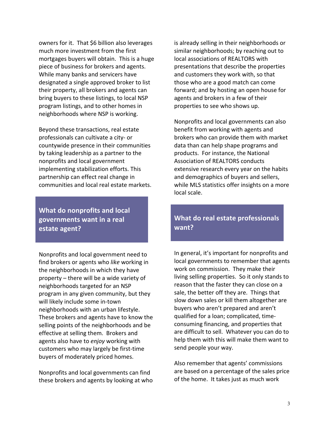owners for it. That \$6 billion also leverages much more investment from the first mortgages buyers will obtain. This is a huge piece of business for brokers and agents. While many banks and servicers have designated a single approved broker to list their property, all brokers and agents can bring buyers to these listings, to local NSP program listings, and to other homes in neighborhoods where NSP is working.

Beyond these transactions, real estate professionals can cultivate a city- or countywide presence in their communities by taking leadership as a partner to the nonprofits and local government implementing stabilization efforts. This partnership can effect real change in communities and local real estate markets.

**What do nonprofits and local** governments want in a real **estate agent?** 

Nonprofits and local government need to find brokers or agents who *like* working in the neighborhoods in which they have property – there will be a wide variety of neighborhoods targeted for an NSP program in any given community, but they will likely include some in-town neighborhoods with an urban lifestyle. These brokers and agents have to know the selling points of the neighborhoods and be effective at selling them. Brokers and agents also have to *enjoy* working with customers who may largely be first-time buyers of moderately priced homes.

Nonprofits and local governments can find these brokers and agents by looking at who is already selling in their neighborhoods or similar neighborhoods; by reaching out to local associations of REALTORS with presentations that describe the properties and customers they work with, so that those who are a good match can come forward; and by hosting an open house for agents and brokers in a few of their properties to see who shows up.

Nonprofits and local governments can also benefit from working with agents and brokers who can provide them with market data than can help shape programs and products. For instance, the National Association of REALTORS conducts extensive research every year on the habits and demographics of buyers and sellers, while MLS statistics offer insights on a more local scale.

## **What do real estate professionals want?**

In general, it's important for nonprofits and local governments to remember that agents work on commission. They make their living selling properties. So it only stands to reason that the faster they can close on a sale, the better off they are. Things that slow down sales or kill them altogether are buyers who aren't prepared and aren't qualified for a loan; complicated, timeconsuming financing, and properties that are difficult to sell. Whatever you can do to help them with this will make them want to send people your way.

Also remember that agents' commissions are based on a percentage of the sales price of the home. It takes just as much work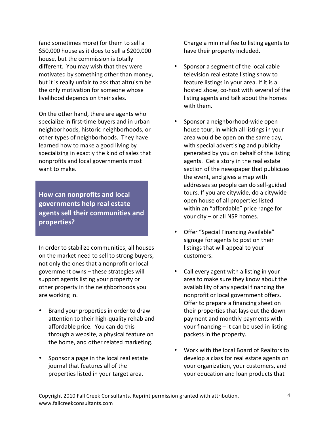(and sometimes more) for them to sell a \$50,000 house as it does to sell a \$200,000 house, but the commission is totally different. You may wish that they were motivated by something other than money, but it is really unfair to ask that altruism be the only motivation for someone whose livelihood depends on their sales.

On the other hand, there are agents who specialize in first-time buyers and in urban neighborhoods, historic neighborhoods, or other types of neighborhoods. They have learned how to make a good living by specializing in exactly the kind of sales that nonprofits and local governments most want to make.

**How can nonprofits and local governments help real estate**  agents sell their communities and **properties?**

In order to stabilize communities, all houses on the market need to sell to strong buyers, not only the ones that a nonprofit or local government owns - these strategies will support agents listing your property or other property in the neighborhoods you are working in.

- Brand your properties in order to draw attention to their high-quality rehab and affordable price. You can do this through a website, a physical feature on the home, and other related marketing.
- Sponsor a page in the local real estate journal that features all of the properties listed in your target area.

Charge a minimal fee to listing agents to have their property included.

- Sponsor a segment of the local cable television real estate listing show to feature listings in your area. If it is a hosted show, co-host with several of the listing agents and talk about the homes with them.
- Sponsor a neighborhood-wide open house tour, in which all listings in your area would be open on the same day, with special advertising and publicity generated by you on behalf of the listing agents. Get a story in the real estate section of the newspaper that publicizes the event, and gives a map with addresses so people can do self-guided tours. If you are citywide, do a citywide open house of all properties listed within an "affordable" price range for your  $city - or$  all NSP homes.
- Offer "Special Financing Available" signage for agents to post on their listings that will appeal to your customers.
- Call every agent with a listing in your area to make sure they know about the availability of any special financing the nonprofit or local government offers. Offer to prepare a financing sheet on their properties that lays out the down payment and monthly payments with your financing  $-$  it can be used in listing packets in the property.
- Work with the local Board of Realtors to develop a class for real estate agents on your organization, your customers, and your education and loan products that